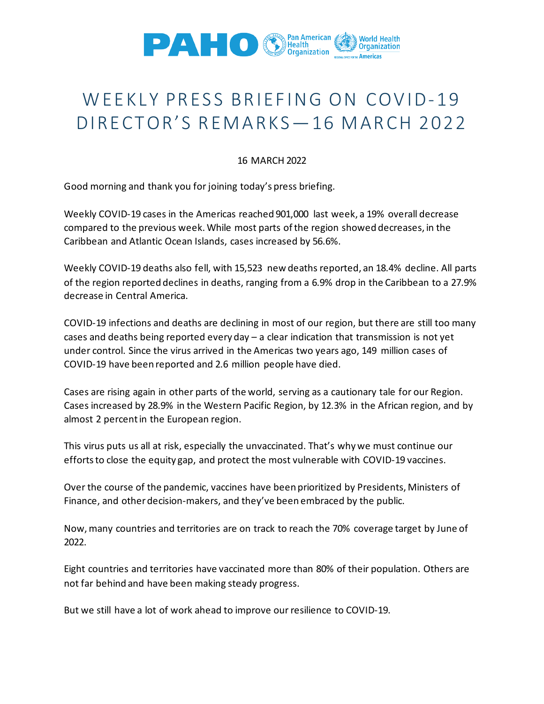

## WEEKLY PRESS BRIEFING ON COVID-19 DIRECTOR'S REMARKS—16 MARCH 2022

## 16 MARCH 2022

Good morning and thank you for joining today's press briefing.

Weekly COVID-19 cases in the Americas reached 901,000 last week, a 19% overall decrease compared to the previous week. While most parts of the region showed decreases, in the Caribbean and Atlantic Ocean Islands, cases increased by 56.6%.

Weekly COVID-19 deaths also fell, with 15,523 new deaths reported, an 18.4% decline. All parts of the region reported declines in deaths, ranging from a 6.9% drop in the Caribbean to a 27.9% decrease in Central America.

COVID-19 infections and deaths are declining in most of our region, but there are still too many cases and deaths being reported every day – a clear indication that transmission is not yet under control. Since the virus arrived in the Americas two years ago, 149 million cases of COVID-19 have been reported and 2.6 million people have died.

Cases are rising again in other parts of the world, serving as a cautionary tale for our Region. Cases increased by 28.9% in the Western Pacific Region, by 12.3% in the African region, and by almost 2 percent in the European region.

This virus puts us all at risk, especially the unvaccinated. That's why we must continue our efforts to close the equity gap, and protect the most vulnerable with COVID-19 vaccines.

Over the course of the pandemic, vaccines have been prioritized by Presidents, Ministers of Finance, and other decision-makers, and they've been embraced by the public.

Now, many countries and territories are on track to reach the 70% coverage target by June of 2022.

Eight countries and territories have vaccinated more than 80% of their population. Others are not far behind and have been making steady progress.

But we still have a lot of work ahead to improve our resilience to COVID-19.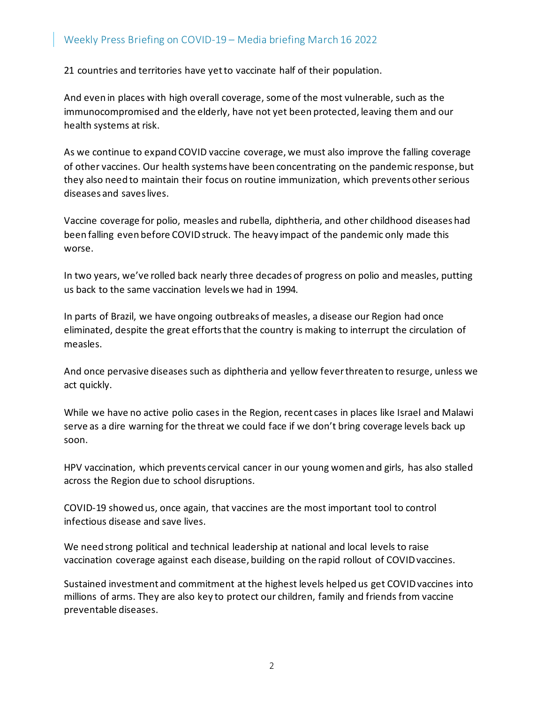## Weekly Press Briefing on COVID-19 – Media briefing March 16 2022

21 countries and territories have yet to vaccinate half of their population.

And even in places with high overall coverage, some of the most vulnerable, such as the immunocompromised and the elderly, have not yet been protected, leaving them and our health systems at risk.

As we continue to expand COVID vaccine coverage, we must also improve the falling coverage of other vaccines. Our health systems have been concentrating on the pandemic response, but they also need to maintain their focus on routine immunization, which prevents other serious diseases and saves lives.

Vaccine coverage for polio, measles and rubella, diphtheria, and other childhood diseases had been falling even before COVID struck. The heavy impact of the pandemic only made this worse.

In two years, we've rolled back nearly three decades of progress on polio and measles, putting us back to the same vaccination levels we had in 1994.

In parts of Brazil, we have ongoing outbreaks of measles, a disease our Region had once eliminated, despite the great efforts that the country is making to interrupt the circulation of measles.

And once pervasive diseases such as diphtheria and yellow fever threaten to resurge, unless we act quickly.

While we have no active polio cases in the Region, recent cases in places like Israel and Malawi serve as a dire warning for the threat we could face if we don't bring coverage levels back up soon.

HPV vaccination, which prevents cervical cancer in our young women and girls, has also stalled across the Region due to school disruptions.

COVID-19 showed us, once again, that vaccines are the most important tool to control infectious disease and save lives.

We need strong political and technical leadership at national and local levels to raise vaccination coverage against each disease, building on the rapid rollout of COVID vaccines.

Sustained investment and commitment at the highest levels helped us get COVID vaccines into millions of arms. They are also key to protect our children, family and friends from vaccine preventable diseases.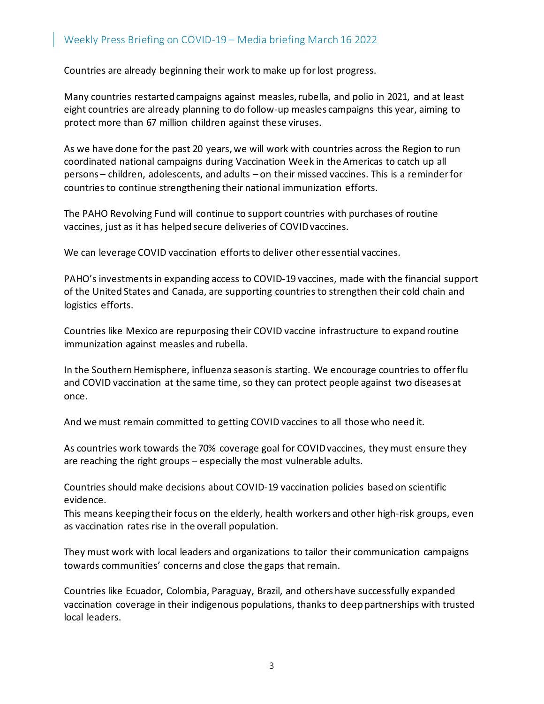Countries are already beginning their work to make up for lost progress.

Many countries restarted campaigns against measles, rubella, and polio in 2021, and at least eight countries are already planning to do follow-up measles campaigns this year, aiming to protect more than 67 million children against these viruses.

As we have done for the past 20 years, we will work with countries across the Region to run coordinated national campaigns during Vaccination Week in the Americas to catch up all persons – children, adolescents, and adults – on their missed vaccines. This is a reminder for countries to continue strengthening their national immunization efforts.

The PAHO Revolving Fund will continue to support countries with purchases of routine vaccines, just as it has helped secure deliveries of COVID vaccines.

We can leverage COVID vaccination efforts to deliver other essential vaccines.

PAHO's investments in expanding access to COVID-19 vaccines, made with the financial support of the United States and Canada, are supporting countries to strengthen their cold chain and logistics efforts.

Countries like Mexico are repurposing their COVID vaccine infrastructure to expand routine immunization against measles and rubella.

In the Southern Hemisphere, influenza season is starting. We encourage countries to offer flu and COVID vaccination at the same time, so they can protect people against two diseases at once.

And we must remain committed to getting COVID vaccines to all those who need it.

As countries work towards the 70% coverage goal for COVID vaccines, they must ensure they are reaching the right groups – especially the most vulnerable adults.

Countries should make decisions about COVID-19 vaccination policies based on scientific evidence.

This means keeping their focus on the elderly, health workers and other high-risk groups, even as vaccination rates rise in the overall population.

They must work with local leaders and organizations to tailor their communication campaigns towards communities' concerns and close the gaps that remain.

Countries like Ecuador, Colombia, Paraguay, Brazil, and others have successfully expanded vaccination coverage in their indigenous populations, thanks to deep partnerships with trusted local leaders.